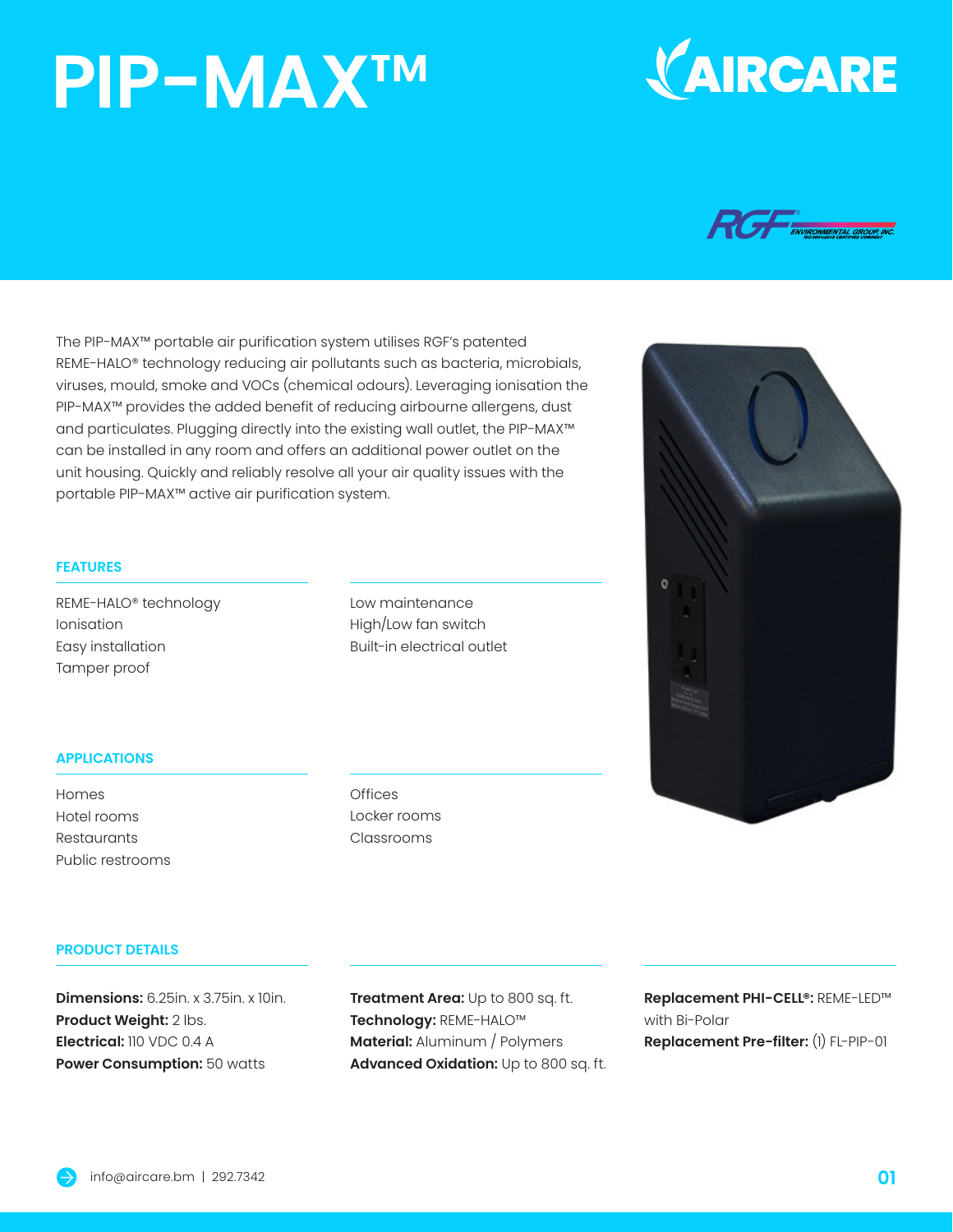# **PIP-MAX**™





The PIP-MAX™ portable air purification system utilises RGF's patented REME-HALO® technology reducing air pollutants such as bacteria, microbials, viruses, mould, smoke and VOCs (chemical odours). Leveraging ionisation the PIP-MAX™ provides the added benefit of reducing airbourne allergens, dust and particulates. Plugging directly into the existing wall outlet, the PIP-MAX™ can be installed in any room and offers an additional power outlet on the unit housing. Quickly and reliably resolve all your air quality issues with the portable PIP-MAX™ active air purification system.

#### **FEATURES**

REME-HALO® technology Ionisation Easy installation Tamper proof

Low maintenance High/Low fan switch Built-in electrical outlet

#### **APPLICATIONS**

Homes Hotel rooms **Restaurants** Public restrooms **Offices** Locker rooms Classrooms

### **PRODUCT DETAILS**

**Dimensions:** 6.25in. x 3.75in. x 10in. **Product Weight:** 2 lbs. **Electrical:** 110 VDC 0.4 A **Power Consumption:** 50 watts

**Treatment Area:** Up to 800 sq. ft. **Technology:** REME-HALO™ **Material:** Aluminum / Polymers **Advanced Oxidation:** Up to 800 sq. ft. **Replacement PHI-CELL®:** REME-LED™ with Bi-Polar **Replacement Pre-filter:** (1) FL-PIP-01